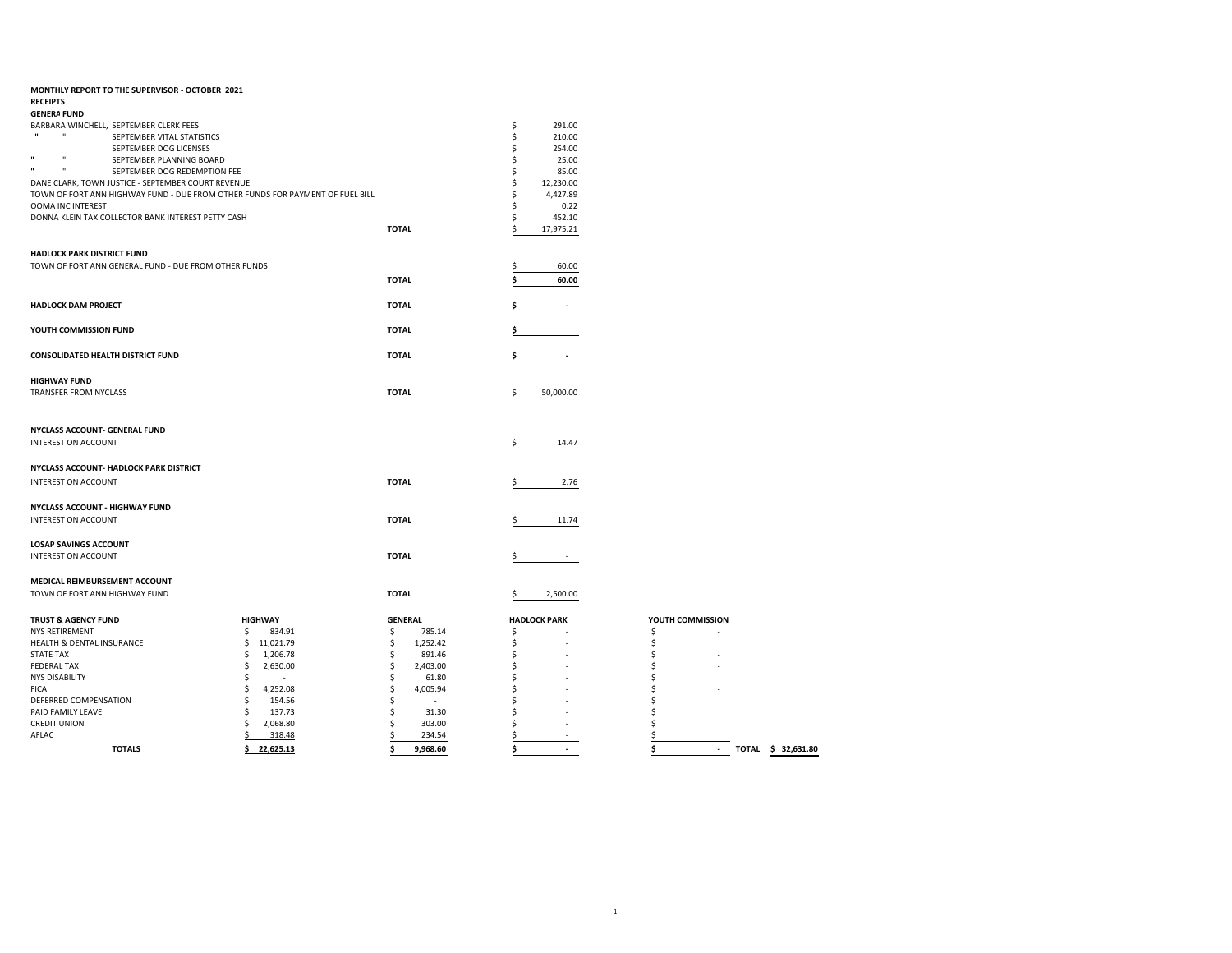| MONTHLY REPORT TO THE SUPERVISOR - OCTOBER 2021                                                      |                 |                |                                |                                    |
|------------------------------------------------------------------------------------------------------|-----------------|----------------|--------------------------------|------------------------------------|
| <b>RECEIPTS</b>                                                                                      |                 |                |                                |                                    |
| <b>GENERA FUND</b>                                                                                   |                 |                |                                |                                    |
| BARBARA WINCHELL, SEPTEMBER CLERK FEES<br>$\mathbf{u}$<br>$\mathbf{u}$<br>SEPTEMBER VITAL STATISTICS |                 |                | \$<br>291.00<br>\$<br>210.00   |                                    |
| SEPTEMBER DOG LICENSES                                                                               |                 |                | Ś<br>254.00                    |                                    |
| $\mathbf{u}$<br>$\mathbf{u}$<br>SEPTEMBER PLANNING BOARD                                             |                 |                | 25.00<br>Ś                     |                                    |
| $\mathbf{u}$<br>$\mathbf{u}$<br>SEPTEMBER DOG REDEMPTION FEE                                         |                 |                | Ś<br>85.00                     |                                    |
| DANE CLARK, TOWN JUSTICE - SEPTEMBER COURT REVENUE                                                   |                 |                | \$<br>12,230.00                |                                    |
| TOWN OF FORT ANN HIGHWAY FUND - DUE FROM OTHER FUNDS FOR PAYMENT OF FUEL BILL                        |                 |                | \$<br>4,427.89                 |                                    |
| <b>OOMA INC INTEREST</b>                                                                             |                 |                | \$<br>0.22                     |                                    |
| DONNA KLEIN TAX COLLECTOR BANK INTEREST PETTY CASH                                                   |                 |                | \$<br>452.10                   |                                    |
|                                                                                                      |                 | <b>TOTAL</b>   | 17,975.21<br>Ś                 |                                    |
|                                                                                                      |                 |                |                                |                                    |
| HADLOCK PARK DISTRICT FUND                                                                           |                 |                |                                |                                    |
| TOWN OF FORT ANN GENERAL FUND - DUE FROM OTHER FUNDS                                                 |                 |                | 60.00<br>Ś                     |                                    |
|                                                                                                      |                 | <b>TOTAL</b>   | 60.00                          |                                    |
|                                                                                                      |                 |                |                                |                                    |
| <b>HADLOCK DAM PROJECT</b>                                                                           |                 | <b>TOTAL</b>   |                                |                                    |
|                                                                                                      |                 |                |                                |                                    |
| YOUTH COMMISSION FUND                                                                                |                 | <b>TOTAL</b>   | Ś                              |                                    |
|                                                                                                      |                 |                |                                |                                    |
| <b>CONSOLIDATED HEALTH DISTRICT FUND</b>                                                             |                 | <b>TOTAL</b>   |                                |                                    |
|                                                                                                      |                 |                |                                |                                    |
| <b>HIGHWAY FUND</b>                                                                                  |                 |                |                                |                                    |
| TRANSFER FROM NYCLASS                                                                                |                 | <b>TOTAL</b>   | 50,000.00<br>Ś                 |                                    |
|                                                                                                      |                 |                |                                |                                    |
|                                                                                                      |                 |                |                                |                                    |
| NYCLASS ACCOUNT- GENERAL FUND                                                                        |                 |                |                                |                                    |
| INTEREST ON ACCOUNT                                                                                  |                 |                | 14.47                          |                                    |
|                                                                                                      |                 |                |                                |                                    |
| NYCLASS ACCOUNT- HADLOCK PARK DISTRICT                                                               |                 |                |                                |                                    |
| <b>INTEREST ON ACCOUNT</b>                                                                           |                 | <b>TOTAL</b>   | 2.76<br>\$                     |                                    |
|                                                                                                      |                 |                |                                |                                    |
| NYCLASS ACCOUNT - HIGHWAY FUND                                                                       |                 |                |                                |                                    |
| INTEREST ON ACCOUNT                                                                                  |                 | <b>TOTAL</b>   | \$<br>11.74                    |                                    |
|                                                                                                      |                 |                |                                |                                    |
| <b>LOSAP SAVINGS ACCOUNT</b>                                                                         |                 |                |                                |                                    |
| INTEREST ON ACCOUNT                                                                                  |                 | <b>TOTAL</b>   |                                |                                    |
|                                                                                                      |                 |                |                                |                                    |
| MEDICAL REIMBURSEMENT ACCOUNT                                                                        |                 |                |                                |                                    |
| TOWN OF FORT ANN HIGHWAY FUND                                                                        |                 | <b>TOTAL</b>   | 2,500.00<br>\$                 |                                    |
|                                                                                                      |                 |                |                                |                                    |
| <b>TRUST &amp; AGENCY FUND</b>                                                                       | <b>HIGHWAY</b>  | <b>GENERAL</b> | <b>HADLOCK PARK</b>            | YOUTH COMMISSION                   |
| <b>NYS RETIREMENT</b>                                                                                | \$<br>834.91    | \$<br>785.14   | \$                             | \$                                 |
| HEALTH & DENTAL INSURANCE                                                                            | \$<br>11,021.79 | \$<br>1,252.42 | Ś                              | \$                                 |
| <b>STATE TAX</b>                                                                                     | 1,206.78<br>\$  | \$<br>891.46   | Ś                              | \$                                 |
| <b>FEDERAL TAX</b>                                                                                   | \$<br>2,630.00  | \$<br>2,403.00 | \$                             | \$                                 |
| <b>NYS DISABILITY</b>                                                                                | \$<br>÷.        | \$<br>61.80    | Ś                              | Ś                                  |
| <b>FICA</b>                                                                                          | 4,252.08<br>\$  | \$<br>4,005.94 | Ś                              | Ś                                  |
| DEFERRED COMPENSATION                                                                                | \$<br>154.56    | \$<br>÷        | Ś                              | Ś                                  |
| PAID FAMILY LEAVE                                                                                    | Ś.<br>137.73    | \$<br>31.30    | Ś                              | Ś                                  |
| <b>CREDIT UNION</b>                                                                                  | 2,068.80<br>\$  | \$<br>303.00   | Ś                              | Ś                                  |
| AFLAC                                                                                                | \$<br>318.48    | Ś<br>234.54    | \$                             | \$                                 |
| <b>TOTALS</b>                                                                                        | \$22,625.13     | 9,968.60<br>\$ | \$<br>$\overline{\phantom{a}}$ | TOTAL \$ 32,631.80<br>\$<br>$\sim$ |

| YOUTH COMMISSION |  |  |
|------------------|--|--|
| \$               |  |  |
| \$               |  |  |
| \$               |  |  |
| \$               |  |  |
| \$               |  |  |
| \$               |  |  |
| \$               |  |  |
| \$               |  |  |
| \$               |  |  |
| ¢                |  |  |
|                  |  |  |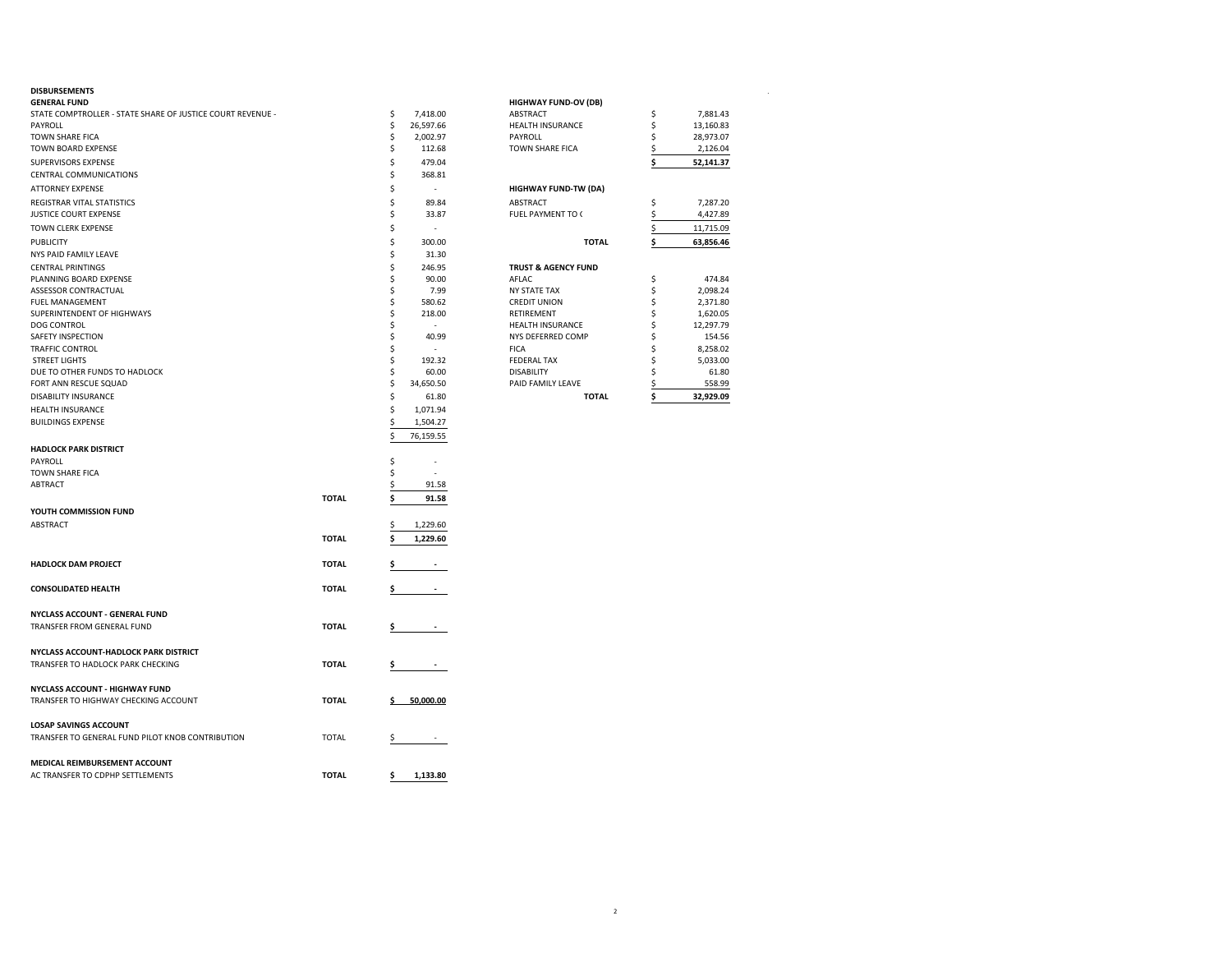| <b>DISBURSEMENTS</b><br><b>GENERAL FUND</b>                |              |    |                          | <b>HIGHWAY FUND-OV (DB)</b>    |    |           |  |
|------------------------------------------------------------|--------------|----|--------------------------|--------------------------------|----|-----------|--|
| STATE COMPTROLLER - STATE SHARE OF JUSTICE COURT REVENUE - |              | \$ | 7,418.00                 | ABSTRACT                       | \$ | 7,881.43  |  |
| PAYROLL                                                    |              | \$ | 26,597.66                | <b>HEALTH INSURANCE</b>        | \$ | 13,160.83 |  |
| <b>TOWN SHARE FICA</b>                                     |              | \$ | 2,002.97                 | PAYROLL                        | Ś  | 28,973.07 |  |
| TOWN BOARD EXPENSE                                         |              | \$ | 112.68                   | TOWN SHARE FICA                | \$ | 2,126.04  |  |
| SUPERVISORS EXPENSE                                        |              | Ś  | 479.04                   |                                | Ś  | 52,141.37 |  |
| CENTRAL COMMUNICATIONS                                     |              | \$ | 368.81                   |                                |    |           |  |
|                                                            |              |    |                          |                                |    |           |  |
| <b>ATTORNEY EXPENSE</b>                                    |              | Ŝ. | $\overline{\phantom{a}}$ | <b>HIGHWAY FUND-TW (DA)</b>    |    |           |  |
| REGISTRAR VITAL STATISTICS                                 |              | Ŝ  | 89.84                    | ABSTRACT                       | \$ | 7,287.20  |  |
| JUSTICE COURT EXPENSE                                      |              | Ś  | 33.87                    | FUEL PAYMENT TO (              | \$ | 4,427.89  |  |
| TOWN CLERK EXPENSE                                         |              | Ś  | ä,                       |                                | \$ | 11,715.09 |  |
| <b>PUBLICITY</b>                                           |              | \$ | 300.00                   | <b>TOTAL</b>                   | \$ | 63,856.46 |  |
| NYS PAID FAMILY LEAVE                                      |              | Ŝ  | 31.30                    |                                |    |           |  |
| <b>CENTRAL PRINTINGS</b>                                   |              | \$ | 246.95                   | <b>TRUST &amp; AGENCY FUND</b> |    |           |  |
| PLANNING BOARD EXPENSE                                     |              | Ś  | 90.00                    | AFLAC                          | \$ | 474.84    |  |
| <b>ASSESSOR CONTRACTUAL</b>                                |              | Ŝ  | 7.99                     | <b>NY STATE TAX</b>            | \$ | 2,098.24  |  |
| FUEL MANAGEMENT                                            |              | Ś  | 580.62                   | <b>CREDIT UNION</b>            | Ś  | 2,371.80  |  |
| SUPERINTENDENT OF HIGHWAYS                                 |              | \$ | 218.00                   | RETIREMENT                     | \$ | 1,620.05  |  |
| <b>DOG CONTROL</b>                                         |              | Ŝ  |                          | HEALTH INSURANCE               | Ś  | 12,297.79 |  |
| SAFETY INSPECTION                                          |              | Ŝ  | 40.99                    | NYS DEFERRED COMP              | Ś  | 154.56    |  |
| <b>TRAFFIC CONTROL</b>                                     |              | S  | $\overline{\phantom{a}}$ | <b>FICA</b>                    | Ś  | 8,258.02  |  |
| <b>STREET LIGHTS</b>                                       |              | Ś  | 192.32                   | <b>FEDERAL TAX</b>             | Ś  | 5,033.00  |  |
| DUE TO OTHER FUNDS TO HADLOCK                              |              | \$ | 60.00                    | <b>DISABILITY</b>              | Ś  | 61.80     |  |
| FORT ANN RESCUE SQUAD                                      |              | \$ | 34,650.50                | PAID FAMILY LEAVE              | S  | 558.99    |  |
| DISABILITY INSURANCE                                       |              | \$ | 61.80                    | <b>TOTAL</b>                   | Ś  | 32,929.09 |  |
| <b>HEALTH INSURANCE</b>                                    |              | Ś  | 1,071.94                 |                                |    |           |  |
| <b>BUILDINGS EXPENSE</b>                                   |              | Ś  | 1,504.27                 |                                |    |           |  |
|                                                            |              | Ś  | 76,159.55                |                                |    |           |  |
| <b>HADLOCK PARK DISTRICT</b>                               |              |    |                          |                                |    |           |  |
| PAYROLL                                                    |              | Ŝ  |                          |                                |    |           |  |
| TOWN SHARE FICA                                            |              | Ŝ  | J.                       |                                |    |           |  |
| <b>ABTRACT</b>                                             |              |    | 91.58                    |                                |    |           |  |
|                                                            | <b>TOTAL</b> | Ś  | 91.58                    |                                |    |           |  |
| YOUTH COMMISSION FUND                                      |              |    |                          |                                |    |           |  |
| ABSTRACT                                                   |              |    | 1,229.60                 |                                |    |           |  |
|                                                            |              |    |                          |                                |    |           |  |
|                                                            | <b>TOTAL</b> |    | 1,229.60                 |                                |    |           |  |
|                                                            |              |    |                          |                                |    |           |  |
| <b>HADLOCK DAM PROJECT</b>                                 | <b>TOTAL</b> |    |                          |                                |    |           |  |
|                                                            |              |    |                          |                                |    |           |  |
| <b>CONSOLIDATED HEALTH</b>                                 | <b>TOTAL</b> |    |                          |                                |    |           |  |
|                                                            |              |    |                          |                                |    |           |  |
| NYCLASS ACCOUNT - GENERAL FUND                             |              |    |                          |                                |    |           |  |
| TRANSFER FROM GENERAL FUND                                 | <b>TOTAL</b> |    |                          |                                |    |           |  |
|                                                            |              |    |                          |                                |    |           |  |
| NYCLASS ACCOUNT-HADLOCK PARK DISTRICT                      |              |    |                          |                                |    |           |  |
| TRANSFER TO HADLOCK PARK CHECKING                          | <b>TOTAL</b> |    | $\overline{\phantom{a}}$ |                                |    |           |  |
|                                                            |              |    |                          |                                |    |           |  |
| <b>NYCLASS ACCOUNT - HIGHWAY FUND</b>                      |              |    |                          |                                |    |           |  |
| TRANSFER TO HIGHWAY CHECKING ACCOUNT                       | <b>TOTAL</b> |    | 50,000.00                |                                |    |           |  |
|                                                            |              |    |                          |                                |    |           |  |
| <b>LOSAP SAVINGS ACCOUNT</b>                               |              |    |                          |                                |    |           |  |
| TRANSFER TO GENERAL FUND PILOT KNOB CONTRIBUTION           | <b>TOTAL</b> |    | $\sim$                   |                                |    |           |  |
|                                                            |              |    |                          |                                |    |           |  |
| MEDICAL REIMBURSEMENT ACCOUNT                              |              |    |                          |                                |    |           |  |
| AC TRANSFER TO CDPHP SETTLEMENTS                           | <b>TOTAL</b> | \$ | 1,133.80                 |                                |    |           |  |
|                                                            |              |    |                          |                                |    |           |  |

| <b>HIGHWAY FUND-OV (DB)</b>    |             |           |
|--------------------------------|-------------|-----------|
| <b>ABSTRACT</b>                | \$          | 7,881.43  |
| <b>HEALTH INSURANCE</b>        | \$          | 13,160.83 |
| <b>PAYROLL</b>                 | \$          | 28,973.07 |
| <b>TOWN SHARE FICA</b>         | \$          | 2,126.04  |
|                                | \$          | 52,141.37 |
| <b>HIGHWAY FUND-TW (DA)</b>    |             |           |
| <b>ABSTRACT</b>                | \$          | 7,287.20  |
| FUEL PAYMENT TO (              |             | 4,427.89  |
|                                | $rac{5}{5}$ | 11,715.09 |
| <b>TOTAL</b>                   | \$          | 63.856.46 |
| <b>TRUST &amp; AGENCY FUND</b> |             |           |
| AFLAC.                         | \$          | 474.84    |
| <b>NY STATE TAX</b>            | \$          | 2,098.24  |
| <b>CREDIT UNION</b>            | \$          | 2,371.80  |
| <b>RETIREMENT</b>              | \$          | 1,620.05  |
| <b>HEALTH INSURANCE</b>        | \$          | 12,297.79 |
| NYS DEFERRED COMP              | \$          | 154.56    |
| <b>FICA</b>                    | \$          | 8,258.02  |
| <b>FEDERAL TAX</b>             | \$          | 5.033.00  |
| <b>DISABILITY</b>              | \$          | 61.80     |
| PAID FAMILY LEAVE              | \$          | 558.99    |
| <b>TOTAL</b>                   | \$          | 32.929.09 |